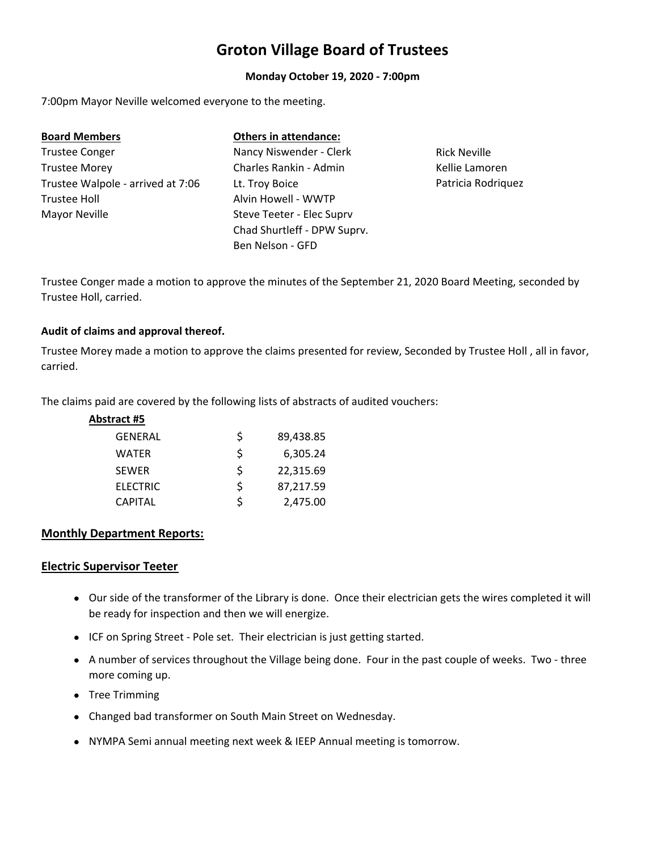# **Groton Village Board of Trustees**

# **Monday October 19, 2020 ‐ 7:00pm**

7:00pm Mayor Neville welcomed everyone to the meeting.

| <b>Board Members</b>              | <b>Others in attendance:</b> |                     |
|-----------------------------------|------------------------------|---------------------|
| <b>Trustee Conger</b>             | Nancy Niswender - Clerk      | <b>Rick Neville</b> |
| <b>Trustee Morey</b>              | Charles Rankin - Admin       | Kellie Lamoren      |
| Trustee Walpole - arrived at 7:06 | Lt. Troy Boice               | Patricia Rodriguez  |
| <b>Trustee Holl</b>               | Alvin Howell - WWTP          |                     |
| Mayor Neville                     | Steve Teeter - Elec Suprv    |                     |
|                                   | Chad Shurtleff - DPW Suprv.  |                     |
|                                   | Ben Nelson - GFD             |                     |

Trustee Conger made a motion to approve the minutes of the September 21, 2020 Board Meeting, seconded by Trustee Holl, carried.

# **Audit of claims and approval thereof.**

Trustee Morey made a motion to approve the claims presented for review, Seconded by Trustee Holl , all in favor, carried.

The claims paid are covered by the following lists of abstracts of audited vouchers:

| Abstract #5     |    |           |
|-----------------|----|-----------|
| <b>GENERAL</b>  | Ś  | 89,438.85 |
| <b>WATER</b>    | \$ | 6,305.24  |
| <b>SEWER</b>    | Ś  | 22,315.69 |
| <b>ELECTRIC</b> | \$ | 87,217.59 |
| <b>CAPITAL</b>  | ς  | 2,475.00  |

# **Monthly Department Reports:**

# **Electric Supervisor Teeter**

- Our side of the transformer of the Library is done. Once their electrician gets the wires completed it will be ready for inspection and then we will energize.
- ICF on Spring Street Pole set. Their electrician is just getting started.
- A number of services throughout the Village being done. Four in the past couple of weeks. Two three more coming up.
- Tree Trimming
- Changed bad transformer on South Main Street on Wednesday.
- NYMPA Semi annual meeting next week & IEEP Annual meeting is tomorrow.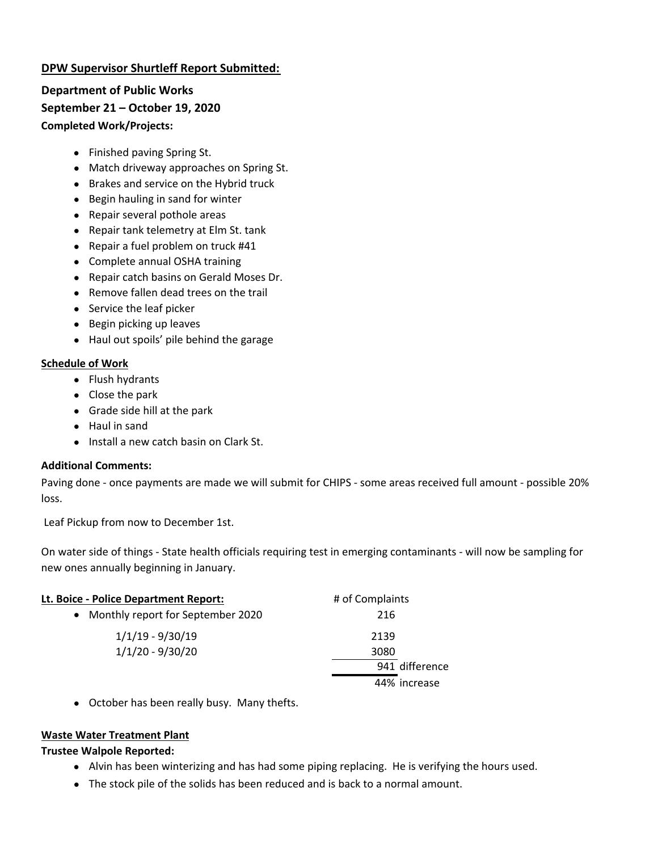# **DPW Supervisor Shurtleff Report Submitted:**

**Department of Public Works September 21 – October 19, 2020 Completed Work/Projects:**

- Finished paving Spring St.
- Match driveway approaches on Spring St.
- Brakes and service on the Hybrid truck
- Begin hauling in sand for winter
- Repair several pothole areas
- Repair tank telemetry at Elm St. tank
- Repair a fuel problem on truck #41
- Complete annual OSHA training
- Repair catch basins on Gerald Moses Dr.
- Remove fallen dead trees on the trail
- Service the leaf picker
- **Begin picking up leaves**
- Haul out spoils' pile behind the garage

# **Schedule of Work**

- Flush hydrants
- Close the park
- Grade side hill at the park
- Haul in sand
- Install a new catch basin on Clark St.

# **Additional Comments:**

Paving done ‐ once payments are made we will submit for CHIPS ‐ some areas received full amount ‐ possible 20% loss.

Leaf Pickup from now to December 1st.

On water side of things ‐ State health officials requiring test in emerging contaminants ‐ will now be sampling for new ones annually beginning in January.

| Lt. Boice - Police Department Report:          | # of Complaints |
|------------------------------------------------|-----------------|
| Monthly report for September 2020<br>$\bullet$ | 216             |
| $1/1/19 - 9/30/19$                             | 2139            |
| $1/1/20 - 9/30/20$                             | 3080            |
|                                                | 941 difference  |
|                                                | 44% increase    |

October has been really busy. Many thefts.

# **Waste Water Treatment Plant**

# **Trustee Walpole Reported:**

- Alvin has been winterizing and has had some piping replacing. He is verifying the hours used.
- The stock pile of the solids has been reduced and is back to a normal amount.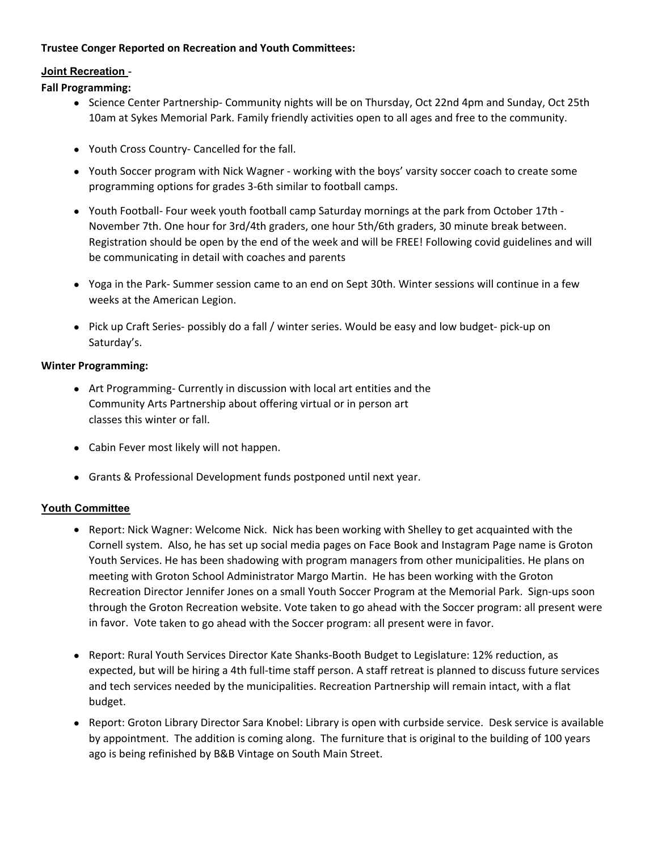# **Trustee Conger Reported on Recreation and Youth Committees:**

# **Joint Recreation** -

# **Fall Programming:**

- Science Center Partnership- Community nights will be on Thursday, Oct 22nd 4pm and Sunday, Oct 25th 10am at Sykes Memorial Park. Family friendly activities open to all ages and free to the community.
- Youth Cross Country- Cancelled for the fall.
- Youth Soccer program with Nick Wagner working with the boys' varsity soccer coach to create some programming options for grades 3‐6th similar to football camps.
- Youth Football‐ Four week youth football camp Saturday mornings at the park from October 17th ‐ November 7th. One hour for 3rd/4th graders, one hour 5th/6th graders, 30 minute break between. Registration should be open by the end of the week and will be FREE! Following covid guidelines and will be communicating in detail with coaches and parents
- Yoga in the Park-Summer session came to an end on Sept 30th. Winter sessions will continue in a few weeks at the American Legion.
- Pick up Craft Series- possibly do a fall / winter series. Would be easy and low budget- pick-up on Saturday's.

# **Winter Programming:**

- Art Programming- Currently in discussion with local art entities and the Community Arts Partnership about offering virtual or in person art classes this winter or fall.
- Cabin Fever most likely will not happen.
- Grants & Professional Development funds postponed until next year.

# **Youth Committee**

- Report: Nick Wagner: Welcome Nick. Nick has been working with Shelley to get acquainted with the Cornell system. Also, he has set up social media pages on Face Book and Instagram Page name is Groton Youth Services. He has been shadowing with program managers from other municipalities. He plans on meeting with Groton School Administrator Margo Martin. He has been working with the Groton Recreation Director Jennifer Jones on a small Youth Soccer Program at the Memorial Park. Sign-ups soon through the Groton Recreation website. Vote taken to go ahead with the Soccer program: all present were in favor. Vote taken to go ahead with the Soccer program: all present were in favor.
- Report: Rural Youth Services Director Kate Shanks-Booth Budget to Legislature: 12% reduction, as expected, but will be hiring a 4th full-time staff person. A staff retreat is planned to discuss future services and tech services needed by the municipalities. Recreation Partnership will remain intact, with a flat budget.
- Report: Groton Library Director Sara Knobel: Library is open with curbside service. Desk service is available by appointment. The addition is coming along. The furniture that is original to the building of 100 years ago is being refinished by B&B Vintage on South Main Street.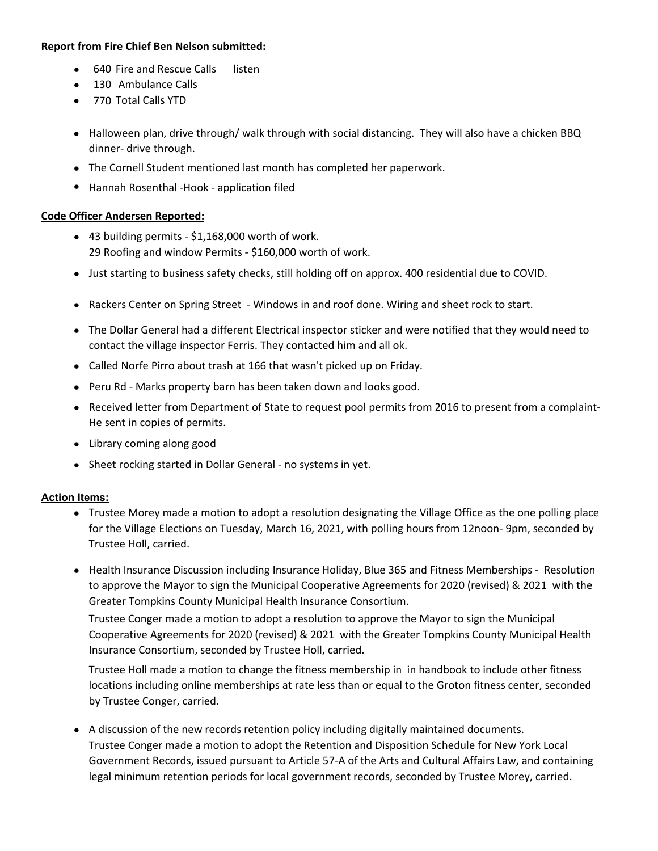#### **Report from Fire Chief Ben Nelson submitted:**

- 640 Fire and Rescue Calls listen
- 130 Ambulance Calls
- 770 Total Calls YTD
- Halloween plan, drive through/ walk through with social distancing. They will also have a chicken BBQ dinner‐ drive through.
- The Cornell Student mentioned last month has completed her paperwork.
- Hannah Rosenthal -Hook application filed

# **Code Officer Andersen Reported:**

- 43 building permits \$1,168,000 worth of work. 29 Roofing and window Permits ‐ \$160,000 worth of work.
- Just starting to business safety checks, still holding off on approx. 400 residential due to COVID.
- Rackers Center on Spring Street ‐ Windows in and roof done. Wiring and sheet rock to start.
- The Dollar General had a different Electrical inspector sticker and were notified that they would need to contact the village inspector Ferris. They contacted him and all ok.
- Called Norfe Pirro about trash at 166 that wasn't picked up on Friday.
- Peru Rd Marks property barn has been taken down and looks good.
- Received letter from Department of State to request pool permits from 2016 to present from a complaint-He sent in copies of permits.
- Library coming along good
- Sheet rocking started in Dollar General ‐ no systems in yet.

# **Action Items:**

- Trustee Morey made a motion to adopt a resolution designating the Village Office as the one polling place for the Village Elections on Tuesday, March 16, 2021, with polling hours from 12noon‐ 9pm, seconded by Trustee Holl, carried.
- Health Insurance Discussion including Insurance Holiday, Blue 365 and Fitness Memberships ‐ Resolution to approve the Mayor to sign the Municipal Cooperative Agreements for 2020 (revised) & 2021 with the Greater Tompkins County Municipal Health Insurance Consortium.

Trustee Conger made a motion to adopt a resolution to approve the Mayor to sign the Municipal Cooperative Agreements for 2020 (revised) & 2021 with the Greater Tompkins County Municipal Health Insurance Consortium, seconded by Trustee Holl, carried.

Trustee Holl made a motion to change the fitness membership in in handbook to include other fitness locations including online memberships at rate less than or equal to the Groton fitness center, seconded by Trustee Conger, carried.

 A discussion of the new records retention policy including digitally maintained documents. Trustee Conger made a motion to adopt the Retention and Disposition Schedule for New York Local Government Records, issued pursuant to Article 57‐A of the Arts and Cultural Affairs Law, and containing legal minimum retention periods for local government records, seconded by Trustee Morey, carried.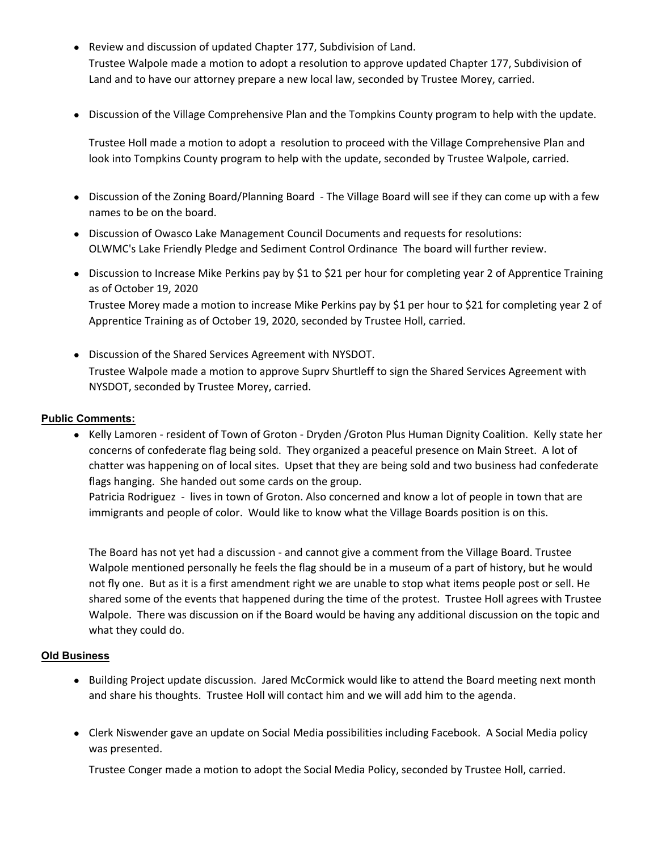- Review and discussion of updated Chapter 177, Subdivision of Land. Trustee Walpole made a motion to adopt a resolution to approve updated Chapter 177, Subdivision of Land and to have our attorney prepare a new local law, seconded by Trustee Morey, carried.
- Discussion of the Village Comprehensive Plan and the Tompkins County program to help with the update.

Trustee Holl made a motion to adopt a resolution to proceed with the Village Comprehensive Plan and look into Tompkins County program to help with the update, seconded by Trustee Walpole, carried.

- Discussion of the Zoning Board/Planning Board ‐ The Village Board will see if they can come up with a few names to be on the board.
- Discussion of Owasco Lake Management Council Documents and requests for resolutions: OLWMC's Lake Friendly Pledge and Sediment Control Ordinance The board will further review.
- Discussion to Increase Mike Perkins pay by \$1 to \$21 per hour for completing year 2 of Apprentice Training as of October 19, 2020

Trustee Morey made a motion to increase Mike Perkins pay by \$1 per hour to \$21 for completing year 2 of Apprentice Training as of October 19, 2020, seconded by Trustee Holl, carried.

 Discussion of the Shared Services Agreement with NYSDOT. Trustee Walpole made a motion to approve Suprv Shurtleff to sign the Shared Services Agreement with NYSDOT, seconded by Trustee Morey, carried.

# **Public Comments:**

● Kelly Lamoren - resident of Town of Groton - Dryden /Groton Plus Human Dignity Coalition. Kelly state her concerns of confederate flag being sold. They organized a peaceful presence on Main Street. A lot of chatter was happening on of local sites. Upset that they are being sold and two business had confederate flags hanging. She handed out some cards on the group.

Patricia Rodriguez - lives in town of Groton. Also concerned and know a lot of people in town that are immigrants and people of color. Would like to know what the Village Boards position is on this.

The Board has not yet had a discussion ‐ and cannot give a comment from the Village Board. Trustee Walpole mentioned personally he feels the flag should be in a museum of a part of history, but he would not fly one. But as it is a first amendment right we are unable to stop what items people post or sell. He shared some of the events that happened during the time of the protest. Trustee Holl agrees with Trustee Walpole. There was discussion on if the Board would be having any additional discussion on the topic and what they could do.

# **Old Business**

- Building Project update discussion. Jared McCormick would like to attend the Board meeting next month and share his thoughts. Trustee Holl will contact him and we will add him to the agenda.
- Clerk Niswender gave an update on Social Media possibilities including Facebook. A Social Media policy was presented.

Trustee Conger made a motion to adopt the Social Media Policy, seconded by Trustee Holl, carried.